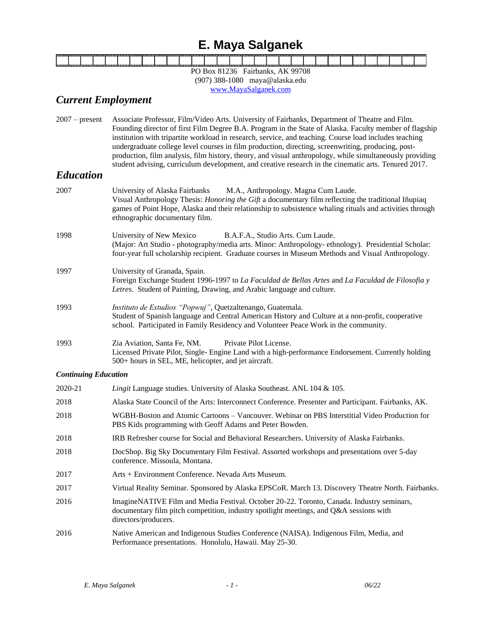# **E. Maya Salganek**

| . . |  |  |  |  |  |  |  |  |  |  |  |  |  |  | ---- |
|-----|--|--|--|--|--|--|--|--|--|--|--|--|--|--|------|
|     |  |  |  |  |  |  |  |  |  |  |  |  |  |  |      |
|     |  |  |  |  |  |  |  |  |  |  |  |  |  |  |      |
|     |  |  |  |  |  |  |  |  |  |  |  |  |  |  |      |
|     |  |  |  |  |  |  |  |  |  |  |  |  |  |  |      |
|     |  |  |  |  |  |  |  |  |  |  |  |  |  |  |      |

PO Box 81236 Fairbanks, AK 99708 (907) 388-1080 maya@alaska.edu [www.MayaSalganek.com](http://www.mayasalganek.com/)

# *Current Employment*

2007 – present Associate Professor, Film/Video Arts. University of Fairbanks, Department of Theatre and Film. Founding director of first Film Degree B.A. Program in the State of Alaska. Faculty member of flagship institution with tripartite workload in research, service, and teaching. Course load includes teaching undergraduate college level courses in film production, directing, screenwriting, producing, postproduction, film analysis, film history, theory, and visual anthropology, while simultaneously providing student advising, curriculum development, and creative research in the cinematic arts. Tenured 2017.

### *Education*

| 2007 | University of Alaska Fairbanks M.A., Anthropology. Magna Cum Laude.<br>Visual Anthropology Thesis: <i>Honoring the Gift</i> a documentary film reflecting the traditional Iñupiaq<br>games of Point Hope, Alaska and their relationship to subsistence whaling rituals and activities through<br>ethnographic documentary film. |
|------|---------------------------------------------------------------------------------------------------------------------------------------------------------------------------------------------------------------------------------------------------------------------------------------------------------------------------------|
| 1998 | University of New Mexico B.A.F.A., Studio Arts. Cum Laude.<br>(Major: Art Studio - photography/media arts. Minor: Anthropology- ethnology). Presidential Scholar:<br>four-year full scholarship recipient. Graduate courses in Museum Methods and Visual Anthropology.                                                          |
| 1997 | University of Granada, Spain.<br>Foreign Exchange Student 1996-1997 to La Faculdad de Bellas Artes and La Faculdad de Filosofia y<br>Letres. Student of Painting, Drawing, and Arabic language and culture.                                                                                                                     |
| 1993 | Instituto de Estudios "Popwuj", Quetzaltenango, Guatemala.<br>Student of Spanish language and Central American History and Culture at a non-profit, cooperative<br>school. Participated in Family Residency and Volunteer Peace Work in the community.                                                                          |
| 1993 | Zia Aviation, Santa Fe, NM. Private Pilot License.<br>Licensed Private Pilot, Single- Engine Land with a high-performance Endorsement. Currently holding<br>500+ hours in SEL, ME, helicopter, and jet aircraft.                                                                                                                |

#### *Continuing Education*

| 2020-21 | <i>Lingit</i> Language studies. University of Alaska Southeast. ANL 104 & 105.                                                                                                                               |
|---------|--------------------------------------------------------------------------------------------------------------------------------------------------------------------------------------------------------------|
| 2018    | Alaska State Council of the Arts: Interconnect Conference. Presenter and Participant. Fairbanks, AK.                                                                                                         |
| 2018    | WGBH-Boston and Atomic Cartoons – Vancouver. Webinar on PBS Interstitial Video Production for<br>PBS Kids programming with Geoff Adams and Peter Bowden.                                                     |
| 2018    | IRB Refresher course for Social and Behavioral Researchers. University of Alaska Fairbanks.                                                                                                                  |
| 2018    | DocShop. Big Sky Documentary Film Festival. Assorted workshops and presentations over 5-day<br>conference. Missoula, Montana.                                                                                |
| 2017    | Arts + Environment Conference. Nevada Arts Museum.                                                                                                                                                           |
| 2017    | Virtual Reality Seminar. Sponsored by Alaska EPSCoR. March 13. Discovery Theatre North. Fairbanks.                                                                                                           |
| 2016    | Imagine NATIVE Film and Media Festival. October 20-22. Toronto, Canada. Industry seminars,<br>documentary film pitch competition, industry spotlight meetings, and Q&A sessions with<br>directors/producers. |
| 2016    | Native American and Indigenous Studies Conference (NAISA). Indigenous Film, Media, and<br>Performance presentations. Honolulu, Hawaii. May 25-30.                                                            |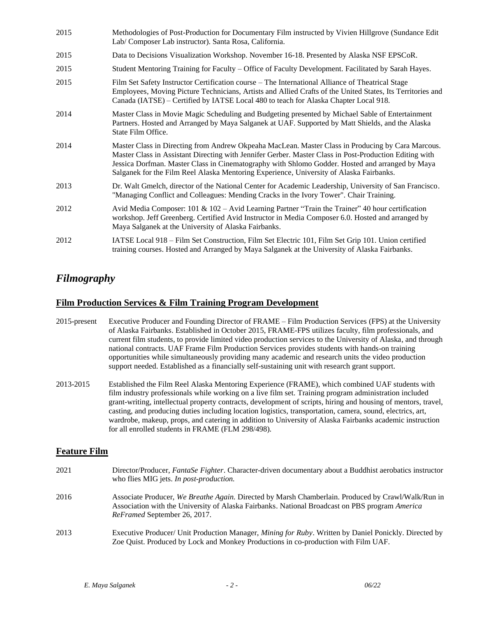| 2015 | Methodologies of Post-Production for Documentary Film instructed by Vivien Hillgrove (Sundance Edit<br>Lab/ Composer Lab instructor). Santa Rosa, California.                                                                                                                                                                                                                                             |
|------|-----------------------------------------------------------------------------------------------------------------------------------------------------------------------------------------------------------------------------------------------------------------------------------------------------------------------------------------------------------------------------------------------------------|
| 2015 | Data to Decisions Visualization Workshop. November 16-18. Presented by Alaska NSF EPSCoR.                                                                                                                                                                                                                                                                                                                 |
| 2015 | Student Mentoring Training for Faculty – Office of Faculty Development. Facilitated by Sarah Hayes.                                                                                                                                                                                                                                                                                                       |
| 2015 | Film Set Safety Instructor Certification course – The International Alliance of Theatrical Stage<br>Employees, Moving Picture Technicians, Artists and Allied Crafts of the United States, Its Territories and<br>Canada (IATSE) - Certified by IATSE Local 480 to teach for Alaska Chapter Local 918.                                                                                                    |
| 2014 | Master Class in Movie Magic Scheduling and Budgeting presented by Michael Sable of Entertainment<br>Partners. Hosted and Arranged by Maya Salganek at UAF. Supported by Matt Shields, and the Alaska<br>State Film Office.                                                                                                                                                                                |
| 2014 | Master Class in Directing from Andrew Okpeaha MacLean. Master Class in Producing by Cara Marcous.<br>Master Class in Assistant Directing with Jennifer Gerber. Master Class in Post-Production Editing with<br>Jessica Dorfman. Master Class in Cinematography with Shlomo Godder. Hosted and arranged by Maya<br>Salganek for the Film Reel Alaska Mentoring Experience, University of Alaska Fairbanks. |
| 2013 | Dr. Walt Gmelch, director of the National Center for Academic Leadership, University of San Francisco.<br>"Managing Conflict and Colleagues: Mending Cracks in the Ivory Tower". Chair Training.                                                                                                                                                                                                          |
| 2012 | Avid Media Composer: 101 & 102 - Avid Learning Partner "Train the Trainer" 40 hour certification<br>workshop. Jeff Greenberg. Certified Avid Instructor in Media Composer 6.0. Hosted and arranged by<br>Maya Salganek at the University of Alaska Fairbanks.                                                                                                                                             |
| 2012 | IATSE Local 918 – Film Set Construction, Film Set Electric 101, Film Set Grip 101. Union certified<br>training courses. Hosted and Arranged by Maya Salganek at the University of Alaska Fairbanks.                                                                                                                                                                                                       |

## *Filmography*

### **Film Production Services & Film Training Program Development**

- 2015-present Executive Producer and Founding Director of FRAME Film Production Services (FPS) at the University of Alaska Fairbanks. Established in October 2015, FRAME-FPS utilizes faculty, film professionals, and current film students, to provide limited video production services to the University of Alaska, and through national contracts. UAF Frame Film Production Services provides students with hands-on training opportunities while simultaneously providing many academic and research units the video production support needed. Established as a financially self-sustaining unit with research grant support.
- 2013-2015 Established the Film Reel Alaska Mentoring Experience (FRAME), which combined UAF students with film industry professionals while working on a live film set. Training program administration included grant-writing, intellectual property contracts, development of scripts, hiring and housing of mentors, travel, casting, and producing duties including location logistics, transportation, camera, sound, electrics, art, wardrobe, makeup, props, and catering in addition to University of Alaska Fairbanks academic instruction for all enrolled students in FRAME (FLM 298/498).

### **Feature Film**

| 2021 | Director/Producer, FantaSe Fighter. Character-driven documentary about a Buddhist aerobatics instructor<br>who flies MIG jets. In post-production.                                                                                          |
|------|---------------------------------------------------------------------------------------------------------------------------------------------------------------------------------------------------------------------------------------------|
| 2016 | Associate Producer, We Breathe Again. Directed by Marsh Chamberlain. Produced by Crawl/Walk/Run in<br>Association with the University of Alaska Fairbanks. National Broadcast on PBS program America<br><i>ReFramed September 26, 2017.</i> |
| 2013 | Executive Producer/ Unit Production Manager, Mining for Ruby. Written by Daniel Ponickly. Directed by<br>Zoe Quist. Produced by Lock and Monkey Productions in co-production with Film UAF.                                                 |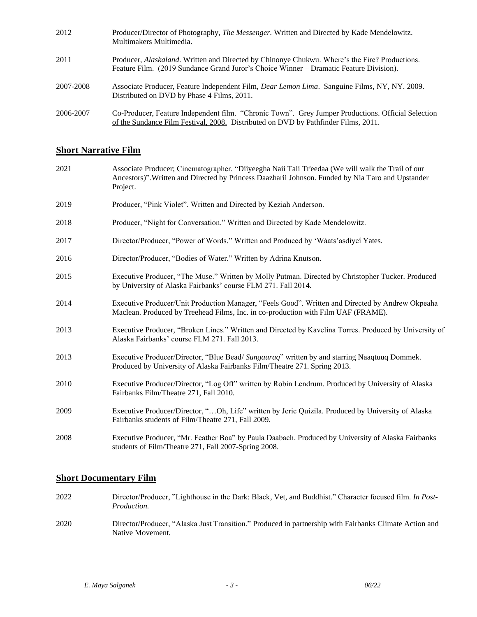| 2012      | Producer/Director of Photography, The Messenger. Written and Directed by Kade Mendelowitz.<br>Multimakers Multimedia.                                                                    |
|-----------|------------------------------------------------------------------------------------------------------------------------------------------------------------------------------------------|
| 2011      | Producer, Alaskaland. Written and Directed by Chinonye Chukwu. Where's the Fire? Productions.<br>Feature Film. (2019 Sundance Grand Juror's Choice Winner – Dramatic Feature Division).  |
| 2007-2008 | Associate Producer, Feature Independent Film, <i>Dear Lemon Lima.</i> Sanguine Films, NY, NY. 2009.<br>Distributed on DVD by Phase 4 Films, 2011.                                        |
| 2006-2007 | Co-Producer, Feature Independent film. "Chronic Town". Grey Jumper Productions. Official Selection<br>of the Sundance Film Festival, 2008. Distributed on DVD by Pathfinder Films, 2011. |

## **Short Narrative Film**

| 2021 | Associate Producer; Cinematographer. "Diiyeegha Naii Taii Tr'eedaa (We will walk the Trail of our<br>Ancestors)". Written and Directed by Princess Daazharii Johnson. Funded by Nia Taro and Upstander<br>Project. |
|------|--------------------------------------------------------------------------------------------------------------------------------------------------------------------------------------------------------------------|
| 2019 | Producer, "Pink Violet". Written and Directed by Keziah Anderson.                                                                                                                                                  |
| 2018 | Producer, "Night for Conversation." Written and Directed by Kade Mendelowitz.                                                                                                                                      |
| 2017 | Director/Producer, "Power of Words." Written and Produced by 'Wáats' as diveí Yates.                                                                                                                               |
| 2016 | Director/Producer, "Bodies of Water." Written by Adrina Knutson.                                                                                                                                                   |
| 2015 | Executive Producer, "The Muse." Written by Molly Putman. Directed by Christopher Tucker. Produced<br>by University of Alaska Fairbanks' course FLM 271. Fall 2014.                                                 |
| 2014 | Executive Producer/Unit Production Manager, "Feels Good". Written and Directed by Andrew Okpeaha<br>Maclean. Produced by Treehead Films, Inc. in co-production with Film UAF (FRAME).                              |
| 2013 | Executive Producer, "Broken Lines." Written and Directed by Kavelina Torres. Produced by University of<br>Alaska Fairbanks' course FLM 271. Fall 2013.                                                             |
| 2013 | Executive Producer/Director, "Blue Bead/ Sungauraq" written by and starring Naaqtuuq Dommek.<br>Produced by University of Alaska Fairbanks Film/Theatre 271. Spring 2013.                                          |
| 2010 | Executive Producer/Director, "Log Off" written by Robin Lendrum. Produced by University of Alaska<br>Fairbanks Film/Theatre 271, Fall 2010.                                                                        |
| 2009 | Executive Producer/Director, "Oh, Life" written by Jeric Quizila. Produced by University of Alaska<br>Fairbanks students of Film/Theatre 271, Fall 2009.                                                           |
| 2008 | Executive Producer, "Mr. Feather Boa" by Paula Daabach. Produced by University of Alaska Fairbanks<br>students of Film/Theatre 271, Fall 2007-Spring 2008.                                                         |

### **Short Documentary Film**

- 2022 Director/Producer, "Lighthouse in the Dark: Black, Vet, and Buddhist." Character focused film. *In Post-Production.*
- 2020 Director/Producer, "Alaska Just Transition." Produced in partnership with Fairbanks Climate Action and Native Movement.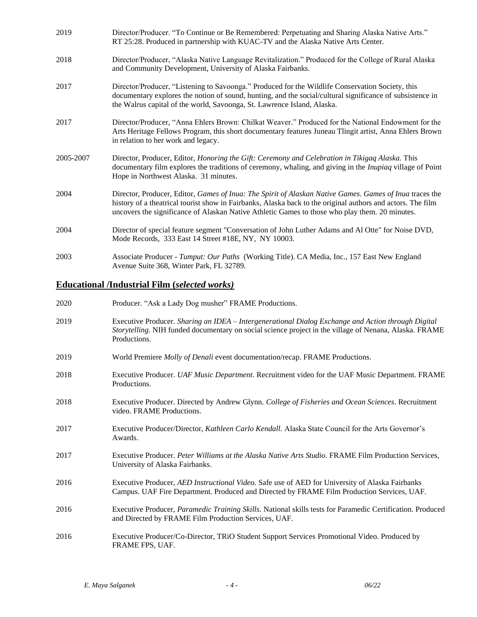| 2019      | Director/Producer. "To Continue or Be Remembered: Perpetuating and Sharing Alaska Native Arts."<br>RT 25:28. Produced in partnership with KUAC-TV and the Alaska Native Arts Center.                                                                                                                                     |
|-----------|--------------------------------------------------------------------------------------------------------------------------------------------------------------------------------------------------------------------------------------------------------------------------------------------------------------------------|
| 2018      | Director/Producer, "Alaska Native Language Revitalization." Produced for the College of Rural Alaska<br>and Community Development, University of Alaska Fairbanks.                                                                                                                                                       |
| 2017      | Director/Producer, "Listening to Savoonga." Produced for the Wildlife Conservation Society, this<br>documentary explores the notion of sound, hunting, and the social/cultural significance of subsistence in<br>the Walrus capital of the world, Savoonga, St. Lawrence Island, Alaska.                                 |
| 2017      | Director/Producer, "Anna Ehlers Brown: Chilkat Weaver." Produced for the National Endowment for the<br>Arts Heritage Fellows Program, this short documentary features Juneau Tlingit artist, Anna Ehlers Brown<br>in relation to her work and legacy.                                                                    |
| 2005-2007 | Director, Producer, Editor, Honoring the Gift: Ceremony and Celebration in Tikigaq Alaska. This<br>documentary film explores the traditions of ceremony, whaling, and giving in the <i>Inupiaq</i> village of Point<br>Hope in Northwest Alaska. 31 minutes.                                                             |
| 2004      | Director, Producer, Editor, Games of Inua: The Spirit of Alaskan Native Games. Games of Inua traces the<br>history of a theatrical tourist show in Fairbanks, Alaska back to the original authors and actors. The film<br>uncovers the significance of Alaskan Native Athletic Games to those who play them. 20 minutes. |
| 2004      | Director of special feature segment "Conversation of John Luther Adams and Al Otte" for Noise DVD,<br>Mode Records, 333 East 14 Street #18E, NY, NY 10003.                                                                                                                                                               |
| 2003      | Associate Producer - Tumput: Our Paths (Working Title). CA Media, Inc., 157 East New England<br>Avenue Suite 368, Winter Park, FL 32789.                                                                                                                                                                                 |

# **Educational /Industrial Film (***selected works)*

| 2020 | Producer. "Ask a Lady Dog musher" FRAME Productions.                                                                                                                                                                         |
|------|------------------------------------------------------------------------------------------------------------------------------------------------------------------------------------------------------------------------------|
| 2019 | Executive Producer. Sharing an IDEA - Intergenerational Dialog Exchange and Action through Digital<br>Storytelling. NIH funded documentary on social science project in the village of Nenana, Alaska. FRAME<br>Productions. |
| 2019 | World Premiere Molly of Denali event documentation/recap. FRAME Productions.                                                                                                                                                 |
| 2018 | Executive Producer. UAF Music Department. Recruitment video for the UAF Music Department. FRAME<br>Productions.                                                                                                              |
| 2018 | Executive Producer. Directed by Andrew Glynn. College of Fisheries and Ocean Sciences. Recruitment<br>video. FRAME Productions.                                                                                              |
| 2017 | Executive Producer/Director, <i>Kathleen Carlo Kendall</i> . Alaska State Council for the Arts Governor's<br>Awards.                                                                                                         |
| 2017 | Executive Producer. Peter Williams at the Alaska Native Arts Studio. FRAME Film Production Services,<br>University of Alaska Fairbanks.                                                                                      |
| 2016 | Executive Producer, AED Instructional Video. Safe use of AED for University of Alaska Fairbanks<br>Campus. UAF Fire Department. Produced and Directed by FRAME Film Production Services, UAF.                                |
| 2016 | Executive Producer, Paramedic Training Skills. National skills tests for Paramedic Certification. Produced<br>and Directed by FRAME Film Production Services, UAF.                                                           |
| 2016 | Executive Producer/Co-Director, TRiO Student Support Services Promotional Video. Produced by<br>FRAME FPS, UAF.                                                                                                              |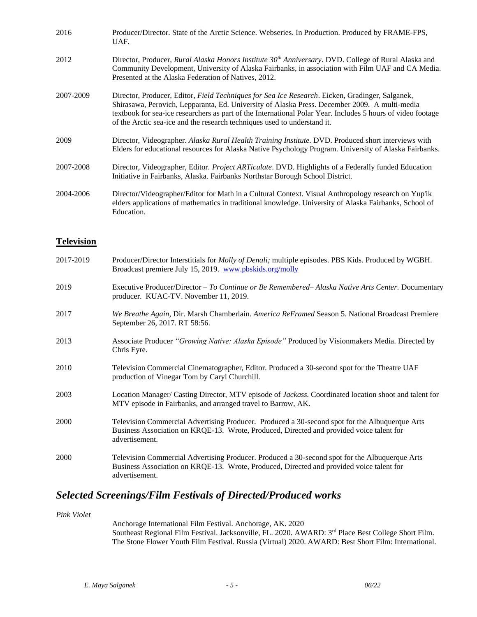| 2016      | Producer/Director. State of the Arctic Science. Webseries. In Production. Produced by FRAME-FPS,<br>UAF.                                                                                                                                                                                                                                                                                            |
|-----------|-----------------------------------------------------------------------------------------------------------------------------------------------------------------------------------------------------------------------------------------------------------------------------------------------------------------------------------------------------------------------------------------------------|
| 2012      | Director, Producer, Rural Alaska Honors Institute $30th$ Anniversary. DVD. College of Rural Alaska and<br>Community Development, University of Alaska Fairbanks, in association with Film UAF and CA Media.<br>Presented at the Alaska Federation of Natives, 2012.                                                                                                                                 |
| 2007-2009 | Director, Producer, Editor, <i>Field Techniques for Sea Ice Research</i> . Eicken, Gradinger, Salganek,<br>Shirasawa, Perovich, Lepparanta, Ed. University of Alaska Press. December 2009. A multi-media<br>textbook for sea-ice researchers as part of the International Polar Year. Includes 5 hours of video footage<br>of the Arctic sea-ice and the research techniques used to understand it. |
| 2009      | Director, Videographer. Alaska Rural Health Training Institute. DVD. Produced short interviews with<br>Elders for educational resources for Alaska Native Psychology Program. University of Alaska Fairbanks.                                                                                                                                                                                       |
| 2007-2008 | Director, Videographer, Editor. Project ARTiculate. DVD. Highlights of a Federally funded Education<br>Initiative in Fairbanks, Alaska. Fairbanks Northstar Borough School District.                                                                                                                                                                                                                |
| 2004-2006 | Director/Videographer/Editor for Math in a Cultural Context. Visual Anthropology research on Yup'ik<br>elders applications of mathematics in traditional knowledge. University of Alaska Fairbanks, School of<br>Education.                                                                                                                                                                         |

#### **Television**

| 2017-2019 | Producer/Director Interstitials for <i>Molly of Denali</i> ; multiple episodes. PBS Kids. Produced by WGBH.<br>Broadcast premiere July 15, 2019. www.pbskids.org/molly                                       |
|-----------|--------------------------------------------------------------------------------------------------------------------------------------------------------------------------------------------------------------|
| 2019      | Executive Producer/Director - To Continue or Be Remembered-Alaska Native Arts Center. Documentary<br>producer. KUAC-TV. November 11, 2019.                                                                   |
| 2017      | We Breathe Again, Dir. Marsh Chamberlain. America ReFramed Season 5. National Broadcast Premiere<br>September 26, 2017. RT 58:56.                                                                            |
| 2013      | Associate Producer "Growing Native: Alaska Episode" Produced by Visionmakers Media. Directed by<br>Chris Eyre.                                                                                               |
| 2010      | Television Commercial Cinematographer, Editor. Produced a 30-second spot for the Theatre UAF<br>production of Vinegar Tom by Caryl Churchill.                                                                |
| 2003      | Location Manager/ Casting Director, MTV episode of Jackass. Coordinated location shoot and talent for<br>MTV episode in Fairbanks, and arranged travel to Barrow, AK.                                        |
| 2000      | Television Commercial Advertising Producer. Produced a 30-second spot for the Albuquerque Arts<br>Business Association on KRQE-13. Wrote, Produced, Directed and provided voice talent for<br>advertisement. |
| 2000      | Television Commercial Advertising Producer. Produced a 30-second spot for the Albuquerque Arts<br>Business Association on KRQE-13. Wrote, Produced, Directed and provided voice talent for<br>advertisement. |

# *Selected Screenings/Film Festivals of Directed/Produced works*

*Pink Violet*

Anchorage International Film Festival. Anchorage, AK. 2020 Southeast Regional Film Festival. Jacksonville, FL. 2020. AWARD: 3<sup>rd</sup> Place Best College Short Film. The Stone Flower Youth Film Festival. Russia (Virtual) 2020. AWARD: Best Short Film: International.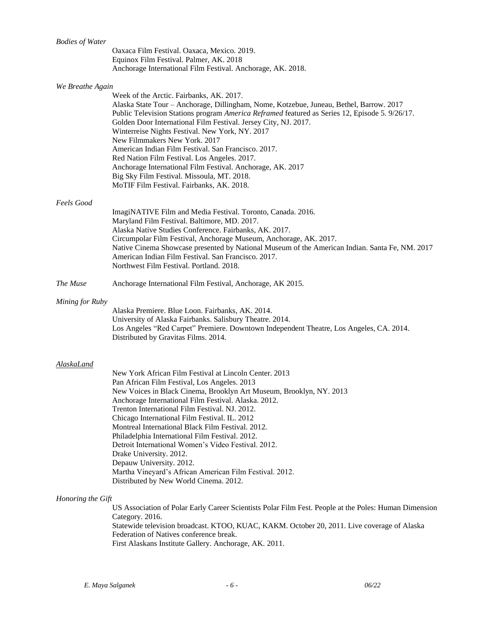| <b>Bodies of Water</b> |                                                                                                            |
|------------------------|------------------------------------------------------------------------------------------------------------|
|                        | Oaxaca Film Festival. Oaxaca, Mexico. 2019.                                                                |
|                        | Equinox Film Festival. Palmer, AK. 2018                                                                    |
|                        | Anchorage International Film Festival. Anchorage, AK. 2018.                                                |
| We Breathe Again       |                                                                                                            |
|                        | Week of the Arctic. Fairbanks, AK. 2017.                                                                   |
|                        | Alaska State Tour - Anchorage, Dillingham, Nome, Kotzebue, Juneau, Bethel, Barrow. 2017                    |
|                        | Public Television Stations program America Reframed featured as Series 12, Episode 5. 9/26/17.             |
|                        | Golden Door International Film Festival. Jersey City, NJ. 2017.                                            |
|                        | Winterreise Nights Festival. New York, NY. 2017                                                            |
|                        | New Filmmakers New York. 2017                                                                              |
|                        | American Indian Film Festival. San Francisco. 2017.                                                        |
|                        | Red Nation Film Festival. Los Angeles. 2017.<br>Anchorage International Film Festival. Anchorage, AK. 2017 |
|                        | Big Sky Film Festival. Missoula, MT. 2018.                                                                 |
|                        | MoTIF Film Festival. Fairbanks, AK. 2018.                                                                  |
| <b>Feels Good</b>      |                                                                                                            |
|                        | ImagiNATIVE Film and Media Festival. Toronto, Canada. 2016.                                                |
|                        | Maryland Film Festival. Baltimore, MD. 2017.                                                               |
|                        | Alaska Native Studies Conference. Fairbanks, AK. 2017.                                                     |
|                        | Circumpolar Film Festival, Anchorage Museum, Anchorage, AK. 2017.                                          |
|                        | Native Cinema Showcase presented by National Museum of the American Indian. Santa Fe, NM. 2017             |
|                        | American Indian Film Festival. San Francisco. 2017.                                                        |
|                        | Northwest Film Festival. Portland. 2018.                                                                   |
| The Muse               | Anchorage International Film Festival, Anchorage, AK 2015.                                                 |
| Mining for Ruby        |                                                                                                            |
|                        | Alaska Premiere. Blue Loon. Fairbanks, AK. 2014.                                                           |
|                        | University of Alaska Fairbanks. Salisbury Theatre. 2014.                                                   |
|                        | Los Angeles "Red Carpet" Premiere. Downtown Independent Theatre, Los Angeles, CA. 2014.                    |
|                        | Distributed by Gravitas Films. 2014.                                                                       |
|                        |                                                                                                            |
| AlaskaLand             | New York African Film Festival at Lincoln Center. 2013                                                     |
|                        | Pan African Film Festival, Los Angeles. 2013                                                               |
|                        | New Voices in Black Cinema, Brooklyn Art Museum, Brooklyn, NY. 2013                                        |
|                        | Anchorage International Film Festival. Alaska. 2012.                                                       |
|                        | Trenton International Film Festival. NJ. 2012.                                                             |
|                        | Chicago International Film Festival. IL. 2012                                                              |
|                        | Montreal International Black Film Festival. 2012.                                                          |
|                        | Philadelphia International Film Festival. 2012.                                                            |
|                        | Detroit International Women's Video Festival. 2012.<br>Drake University. 2012.                             |
|                        | Depauw University. 2012.                                                                                   |
|                        | Martha Vineyard's African American Film Festival. 2012.                                                    |
|                        | Distributed by New World Cinema. 2012.                                                                     |
| Honoring the Gift      |                                                                                                            |
|                        | US Association of Polar Early Career Scientists Polar Film Fest. People at the Poles: Human Dimension      |
|                        | Category. 2016.                                                                                            |
|                        | Statewide television broadcast. KTOO, KUAC, KAKM. October 20, 2011. Live coverage of Alaska                |
|                        | Federation of Natives conference break.                                                                    |
|                        | First Alaskans Institute Gallery. Anchorage, AK. 2011.                                                     |
|                        |                                                                                                            |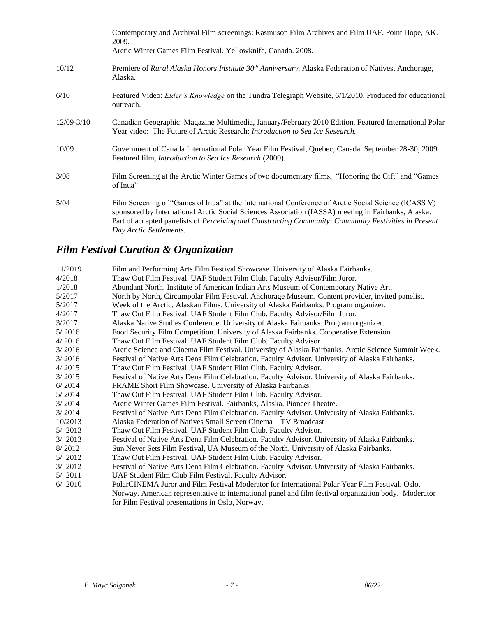|                | Contemporary and Archival Film screenings: Rasmuson Film Archives and Film UAF. Point Hope, AK.<br>2009.<br>Arctic Winter Games Film Festival. Yellowknife, Canada. 2008.                                                                                                                                                                       |
|----------------|-------------------------------------------------------------------------------------------------------------------------------------------------------------------------------------------------------------------------------------------------------------------------------------------------------------------------------------------------|
| 10/12          | Premiere of Rural Alaska Honors Institute $30th$ Anniversary. Alaska Federation of Natives. Anchorage,<br>Alaska.                                                                                                                                                                                                                               |
| 6/10           | Featured Video: Elder's Knowledge on the Tundra Telegraph Website, 6/1/2010. Produced for educational<br>outreach.                                                                                                                                                                                                                              |
| $12/09 - 3/10$ | Canadian Geographic Magazine Multimedia, January/February 2010 Edition. Featured International Polar<br>Year video: The Future of Arctic Research: <i>Introduction to Sea Ice Research</i> .                                                                                                                                                    |
| 10/09          | Government of Canada International Polar Year Film Festival, Quebec, Canada. September 28-30, 2009.<br>Featured film, <i>Introduction to Sea Ice Research</i> (2009).                                                                                                                                                                           |
| 3/08           | Film Screening at the Arctic Winter Games of two documentary films, "Honoring the Gift" and "Games"<br>of Inua"                                                                                                                                                                                                                                 |
| 5/04           | Film Screening of "Games of Inua" at the International Conference of Arctic Social Science (ICASS V)<br>sponsored by International Arctic Social Sciences Association (IASSA) meeting in Fairbanks, Alaska.<br>Part of accepted panelists of Perceiving and Constructing Community: Community Festivities in Present<br>Day Arctic Settlements. |

# *Film Festival Curation & Organization*

| 11/2019 | Film and Performing Arts Film Festival Showcase. University of Alaska Fairbanks.                      |
|---------|-------------------------------------------------------------------------------------------------------|
| 4/2018  | Thaw Out Film Festival. UAF Student Film Club. Faculty Advisor/Film Juror.                            |
| 1/2018  | Abundant North. Institute of American Indian Arts Museum of Contemporary Native Art.                  |
| 5/2017  | North by North, Circumpolar Film Festival. Anchorage Museum. Content provider, invited panelist.      |
| 5/2017  | Week of the Arctic, Alaskan Films. University of Alaska Fairbanks. Program organizer.                 |
| 4/2017  | Thaw Out Film Festival. UAF Student Film Club. Faculty Advisor/Film Juror.                            |
| 3/2017  | Alaska Native Studies Conference. University of Alaska Fairbanks. Program organizer.                  |
| 5/2016  | Food Security Film Competition. University of Alaska Fairbanks. Cooperative Extension.                |
| 4/2016  | Thaw Out Film Festival. UAF Student Film Club. Faculty Advisor.                                       |
| 3/2016  | Arctic Science and Cinema Film Festival. University of Alaska Fairbanks. Arctic Science Summit Week.  |
| 3/2016  | Festival of Native Arts Dena Film Celebration. Faculty Advisor. University of Alaska Fairbanks.       |
| 4/2015  | Thaw Out Film Festival. UAF Student Film Club. Faculty Advisor.                                       |
| 3/2015  | Festival of Native Arts Dena Film Celebration. Faculty Advisor. University of Alaska Fairbanks.       |
| 6/2014  | FRAME Short Film Showcase. University of Alaska Fairbanks.                                            |
| 5/2014  | Thaw Out Film Festival. UAF Student Film Club. Faculty Advisor.                                       |
| 3/2014  | Arctic Winter Games Film Festival. Fairbanks, Alaska. Pioneer Theatre.                                |
| 3/2014  | Festival of Native Arts Dena Film Celebration. Faculty Advisor. University of Alaska Fairbanks.       |
| 10/2013 | Alaska Federation of Natives Small Screen Cinema – TV Broadcast                                       |
| 5/2013  | Thaw Out Film Festival. UAF Student Film Club. Faculty Advisor.                                       |
| 3/2013  | Festival of Native Arts Dena Film Celebration. Faculty Advisor. University of Alaska Fairbanks.       |
| 8/2012  | Sun Never Sets Film Festival, UA Museum of the North. University of Alaska Fairbanks.                 |
| 5/2012  | Thaw Out Film Festival. UAF Student Film Club. Faculty Advisor.                                       |
| 3/2012  | Festival of Native Arts Dena Film Celebration. Faculty Advisor. University of Alaska Fairbanks.       |
| 5/2011  | UAF Student Film Club Film Festival. Faculty Advisor.                                                 |
| 6/2010  | PolarCINEMA Juror and Film Festival Moderator for International Polar Year Film Festival. Oslo,       |
|         | Norway. American representative to international panel and film festival organization body. Moderator |
|         | for Film Festival presentations in Oslo, Norway.                                                      |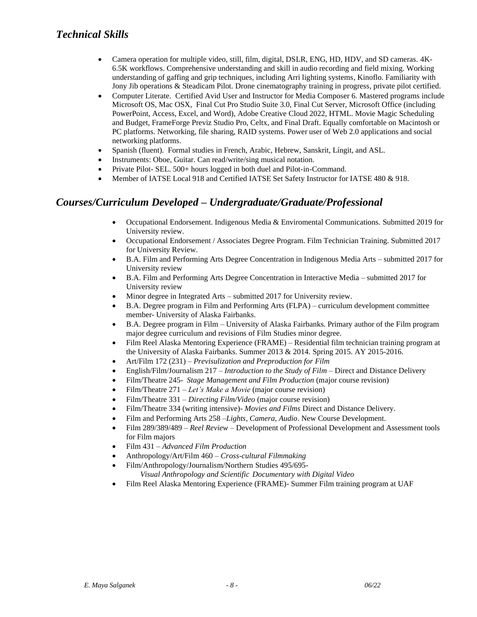- Camera operation for multiple video, still, film, digital, DSLR, ENG, HD, HDV, and SD cameras. 4K-6.5K workflows. Comprehensive understanding and skill in audio recording and field mixing. Working understanding of gaffing and grip techniques, including Arri lighting systems, Kinoflo. Familiarity with Jony Jib operations & Steadicam Pilot. Drone cinematography training in progress, private pilot certified.
- Computer Literate. Certified Avid User and Instructor for Media Composer 6. Mastered programs include Microsoft OS, Mac OSX, Final Cut Pro Studio Suite 3.0, Final Cut Server, Microsoft Office (including PowerPoint, Access, Excel, and Word), Adobe Creative Cloud 2022, HTML. Movie Magic Scheduling and Budget, FrameForge Previz Studio Pro, Celtx, and Final Draft. Equally comfortable on Macintosh or PC platforms. Networking, file sharing, RAID systems. Power user of Web 2.0 applications and social networking platforms.
- Spanish (fluent). Formal studies in French, Arabic, Hebrew, Sanskrit, Língit, and ASL.
- Instruments: Oboe, Guitar. Can read/write/sing musical notation.
- Private Pilot- SEL. 500+ hours logged in both duel and Pilot-in-Command.
- Member of IATSE Local 918 and Certified IATSE Set Safety Instructor for IATSE 480 & 918.

# *Courses/Curriculum Developed – Undergraduate/Graduate/Professional*

- Occupational Endorsement. Indigenous Media & Enviromental Communications. Submitted 2019 for University review.
- Occupational Endorsement / Associates Degree Program. Film Technician Training. Submitted 2017 for University Review.
- B.A. Film and Performing Arts Degree Concentration in Indigenous Media Arts submitted 2017 for University review
- B.A. Film and Performing Arts Degree Concentration in Interactive Media submitted 2017 for University review
- Minor degree in Integrated Arts submitted 2017 for University review.
- B.A. Degree program in Film and Performing Arts (FLPA) curriculum development committee member- University of Alaska Fairbanks.
- B.A. Degree program in Film University of Alaska Fairbanks. Primary author of the Film program major degree curriculum and revisions of Film Studies minor degree.
- Film Reel Alaska Mentoring Experience (FRAME) Residential film technician training program at the University of Alaska Fairbanks. Summer 2013 & 2014. Spring 2015. AY 2015-2016.
- Art/Film 172 (231) *Previsulization and Preproduction for Film*
- English/Film/Journalism 217 *Introduction to the Study of Film –* Direct and Distance Delivery
- Film/Theatre 245- *Stage Management and Film Production* (major course revision)
- Film/Theatre 271 *Let's Make a Movie* (major course revision)
- Film/Theatre 331 *Directing Film/Video* (major course revision)
- Film/Theatre 334 (writing intensive)- *Movies and Films* Direct and Distance Delivery.
- Film and Performing Arts 258 –*Lights, Camera, Audio*. New Course Development.
- Film 289/389/489 *Reel Review –* Development of Professional Development and Assessment tools for Film majors
- Film 431 *Advanced Film Production*
- Anthropology/Art/Film 460 *Cross-cultural Filmmaking*
- Film/Anthropology/Journalism/Northern Studies 495/695- *Visual Anthropology and Scientific Documentary with Digital Video*
- Film Reel Alaska Mentoring Experience (FRAME)- Summer Film training program at UAF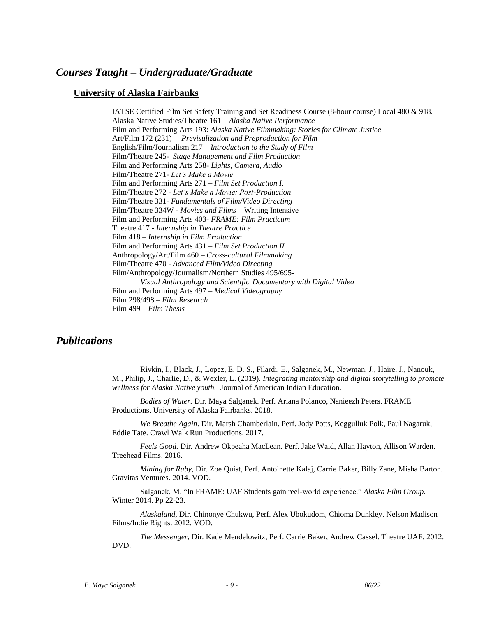### *Courses Taught – Undergraduate/Graduate*

#### **University of Alaska Fairbanks**

IATSE Certified Film Set Safety Training and Set Readiness Course (8-hour course) Local 480 & 918. Alaska Native Studies/Theatre 161 – *Alaska Native Performance*  Film and Performing Arts 193: *Alaska Native Filmmaking: Stories for Climate Justice* Art/Film 172 (231) – *Previsulization and Preproduction for Film* English/Film/Journalism 217 – *Introduction to the Study of Film* Film/Theatre 245- *Stage Management and Film Production*  Film and Performing Arts 258- *Lights, Camera, Audio* Film/Theatre 271- *Let's Make a Movie* Film and Performing Arts 271 – *Film Set Production I.*  Film/Theatre 272 - *Let's Make a Movie: Post-Production* Film/Theatre 331- *Fundamentals of Film/Video Directing* Film/Theatre 334W - *Movies and Films* – Writing Intensive Film and Performing Arts 403- *FRAME: Film Practicum* Theatre 417 - *Internship in Theatre Practice* Film 418 – *Internship in Film Production* Film and Performing Arts 431 – *Film Set Production II.*  Anthropology/Art/Film 460 – *Cross-cultural Filmmaking* Film/Theatre 470 - *Advanced Film/Video Directing* Film/Anthropology/Journalism/Northern Studies 495/695- *Visual Anthropology and Scientific Documentary with Digital Video* Film and Performing Arts 497 – *Medical Videography* Film 298/498 – *Film Research* Film 499 – *Film Thesis*

### *Publications*

Rivkin, I., Black, J., Lopez, E. D. S., Filardi, E., Salganek, M., Newman, J., Haire, J., Nanouk, M., Philip, J., Charlie, D., & Wexler, L. (2019). *Integrating mentorship and digital storytelling to promote wellness for Alaska Native youth.* Journal of American Indian Education.

*Bodies of Water.* Dir. Maya Salganek. Perf. Ariana Polanco, Nanieezh Peters. FRAME Productions. University of Alaska Fairbanks. 2018.

*We Breathe Again*. Dir. Marsh Chamberlain. Perf. Jody Potts, Keggulluk Polk, Paul Nagaruk, Eddie Tate. Crawl Walk Run Productions. 2017.

*Feels Good.* Dir. Andrew Okpeaha MacLean. Perf. Jake Waid, Allan Hayton, Allison Warden. Treehead Films. 2016.

*Mining for Ruby,* Dir. Zoe Quist, Perf. Antoinette Kalaj, Carrie Baker, Billy Zane, Misha Barton. Gravitas Ventures. 2014. VOD.

Salganek, M. "In FRAME: UAF Students gain reel-world experience." *Alaska Film Group.*  Winter 2014. Pp 22-23.

*Alaskaland,* Dir. Chinonye Chukwu, Perf. Alex Ubokudom, Chioma Dunkley. Nelson Madison Films/Indie Rights. 2012. VOD.

*The Messenger,* Dir. Kade Mendelowitz, Perf. Carrie Baker, Andrew Cassel. Theatre UAF. 2012. DVD.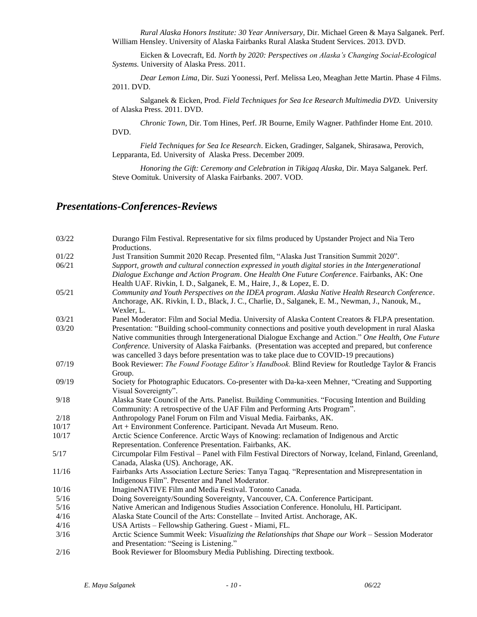*Rural Alaska Honors Institute: 30 Year Anniversary,* Dir. Michael Green & Maya Salganek. Perf. William Hensley. University of Alaska Fairbanks Rural Alaska Student Services. 2013. DVD.

Eicken & Lovecraft, Ed. *North by 2020: Perspectives on Alaska's Changing Social-Ecological Systems.* University of Alaska Press. 2011.

*Dear Lemon Lima*, Dir. Suzi Yoonessi, Perf. Melissa Leo, Meaghan Jette Martin. Phase 4 Films. 2011. DVD.

Salganek & Eicken, Prod. *Field Techniques for Sea Ice Research Multimedia DVD.* University of Alaska Press. 2011. DVD.

*Chronic Town*, Dir. Tom Hines, Perf. JR Bourne, Emily Wagner. Pathfinder Home Ent. 2010. DVD.

*Field Techniques for Sea Ice Research*. Eicken, Gradinger, Salganek, Shirasawa, Perovich, Lepparanta, Ed. University of Alaska Press. December 2009.

*Honoring the Gift: Ceremony and Celebration in Tikigaq Alaska,* Dir. Maya Salganek. Perf. Steve Oomituk. University of Alaska Fairbanks. 2007. VOD.

## *Presentations-Conferences-Reviews*

| 03/22 | Durango Film Festival. Representative for six films produced by Upstander Project and Nia Tero<br>Productions.                                |
|-------|-----------------------------------------------------------------------------------------------------------------------------------------------|
| 01/22 | Just Transition Summit 2020 Recap. Presented film, "Alaska Just Transition Summit 2020".                                                      |
| 06/21 | Support, growth and cultural connection expressed in youth digital stories in the Intergenerational                                           |
|       | Dialogue Exchange and Action Program. One Health One Future Conference. Fairbanks, AK: One                                                    |
|       | Health UAF. Rivkin, I. D., Salganek, E. M., Haire, J., & Lopez, E. D.                                                                         |
| 05/21 | Community and Youth Perspectives on the IDEA program. Alaska Native Health Research Conference.                                               |
|       | Anchorage, AK. Rivkin, I. D., Black, J. C., Charlie, D., Salganek, E. M., Newman, J., Nanouk, M.,                                             |
|       | Wexler, L.                                                                                                                                    |
| 03/21 | Panel Moderator: Film and Social Media. University of Alaska Content Creators & FLPA presentation.                                            |
| 03/20 | Presentation: "Building school-community connections and positive youth development in rural Alaska                                           |
|       | Native communities through Intergenerational Dialogue Exchange and Action." One Health, One Future                                            |
|       | Conference. University of Alaska Fairbanks. (Presentation was accepted and prepared, but conference                                           |
|       | was cancelled 3 days before presentation was to take place due to COVID-19 precautions)                                                       |
| 07/19 | Book Reviewer: The Found Footage Editor's Handbook. Blind Review for Routledge Taylor & Francis                                               |
|       | Group.                                                                                                                                        |
| 09/19 | Society for Photographic Educators. Co-presenter with Da-ka-xeen Mehner, "Creating and Supporting                                             |
|       | Visual Sovereignty".                                                                                                                          |
| 9/18  | Alaska State Council of the Arts. Panelist. Building Communities. "Focusing Intention and Building                                            |
|       | Community: A retrospective of the UAF Film and Performing Arts Program".                                                                      |
| 2/18  | Anthropology Panel Forum on Film and Visual Media. Fairbanks, AK.                                                                             |
| 10/17 | Art + Environment Conference. Participant. Nevada Art Museum. Reno.                                                                           |
| 10/17 | Arctic Science Conference. Arctic Ways of Knowing: reclamation of Indigenous and Arctic                                                       |
|       | Representation. Conference Presentation. Fairbanks, AK.                                                                                       |
| 5/17  | Circumpolar Film Festival – Panel with Film Festival Directors of Norway, Iceland, Finland, Greenland,                                        |
|       | Canada, Alaska (US). Anchorage, AK.                                                                                                           |
| 11/16 | Fairbanks Arts Association Lecture Series: Tanya Tagaq. "Representation and Misrepresentation in                                              |
|       | Indigenous Film". Presenter and Panel Moderator.                                                                                              |
| 10/16 | ImagineNATIVE Film and Media Festival. Toronto Canada.                                                                                        |
| 5/16  | Doing Sovereignty/Sounding Sovereignty, Vancouver, CA. Conference Participant.                                                                |
| 5/16  | Native American and Indigenous Studies Association Conference. Honolulu, HI. Participant.                                                     |
| 4/16  | Alaska State Council of the Arts: Constellate - Invited Artist. Anchorage, AK.                                                                |
| 4/16  | USA Artists - Fellowship Gathering. Guest - Miami, FL.                                                                                        |
| 3/16  | Arctic Science Summit Week: Visualizing the Relationships that Shape our Work - Session Moderator<br>and Presentation: "Seeing is Listening." |
| 2/16  | Book Reviewer for Bloomsbury Media Publishing. Directing textbook.                                                                            |
|       |                                                                                                                                               |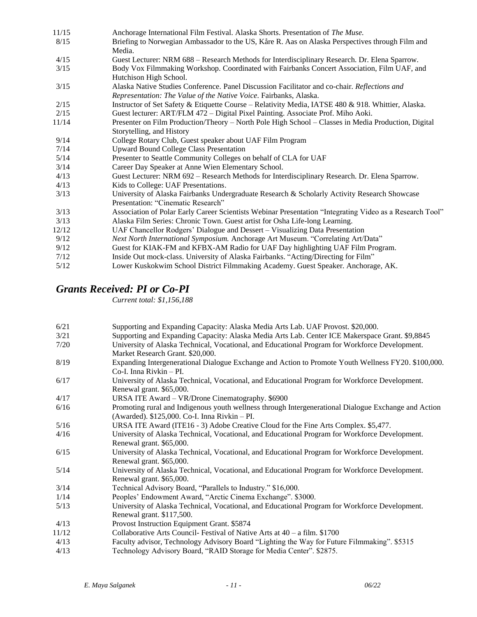| 11/15 | Anchorage International Film Festival. Alaska Shorts. Presentation of The Muse.                          |
|-------|----------------------------------------------------------------------------------------------------------|
| 8/15  | Briefing to Norwegian Ambassador to the US, Kåre R. Aas on Alaska Perspectives through Film and          |
|       | Media.                                                                                                   |
| 4/15  | Guest Lecturer: NRM 688 - Research Methods for Interdisciplinary Research. Dr. Elena Sparrow.            |
| 3/15  | Body Vox Filmmaking Workshop. Coordinated with Fairbanks Concert Association, Film UAF, and              |
|       | Hutchison High School.                                                                                   |
| 3/15  | Alaska Native Studies Conference. Panel Discussion Facilitator and co-chair. Reflections and             |
|       | Representation: The Value of the Native Voice. Fairbanks, Alaska.                                        |
| 2/15  | Instructor of Set Safety & Etiquette Course – Relativity Media, IATSE 480 & 918. Whittier, Alaska.       |
| 2/15  | Guest lecturer: ART/FLM 472 – Digital Pixel Painting. Associate Prof. Miho Aoki.                         |
| 11/14 | Presenter on Film Production/Theory – North Pole High School – Classes in Media Production, Digital      |
|       | Storytelling, and History                                                                                |
| 9/14  | College Rotary Club, Guest speaker about UAF Film Program                                                |
| 7/14  | <b>Upward Bound College Class Presentation</b>                                                           |
| 5/14  | Presenter to Seattle Community Colleges on behalf of CLA for UAF                                         |
| 3/14  | Career Day Speaker at Anne Wien Elementary School.                                                       |
| 4/13  | Guest Lecturer: NRM 692 – Research Methods for Interdisciplinary Research. Dr. Elena Sparrow.            |
| 4/13  | Kids to College: UAF Presentations.                                                                      |
| 3/13  | University of Alaska Fairbanks Undergraduate Research & Scholarly Activity Research Showcase             |
|       | Presentation: "Cinematic Research"                                                                       |
| 3/13  | Association of Polar Early Career Scientists Webinar Presentation "Integrating Video as a Research Tool" |
| 3/13  | Alaska Film Series: Chronic Town. Guest artist for Osha Life-long Learning.                              |
| 12/12 | UAF Chancellor Rodgers' Dialogue and Dessert – Visualizing Data Presentation                             |
| 9/12  | Next North International Symposium. Anchorage Art Museum. "Correlating Art/Data"                         |
| 9/12  | Guest for KIAK-FM and KFBX-AM Radio for UAF Day highlighting UAF Film Program.                           |
| 7/12  | Inside Out mock-class. University of Alaska Fairbanks. "Acting/Directing for Film"                       |
| 5/12  | Lower Kuskokwim School District Filmmaking Academy. Guest Speaker. Anchorage, AK.                        |

# *Grants Received: PI or Co-PI*

*Current total: \$1,156,188*

| 6/21  | Supporting and Expanding Capacity: Alaska Media Arts Lab. UAF Provost. \$20,000.                     |
|-------|------------------------------------------------------------------------------------------------------|
| 3/21  | Supporting and Expanding Capacity: Alaska Media Arts Lab. Center ICE Makerspace Grant. \$9,8845      |
| 7/20  | University of Alaska Technical, Vocational, and Educational Program for Workforce Development.       |
|       | Market Research Grant. \$20,000.                                                                     |
| 8/19  | Expanding Intergenerational Dialogue Exchange and Action to Promote Youth Wellness FY20. \$100,000.  |
|       | $Co-I. Inna Rivkin - PI.$                                                                            |
| 6/17  | University of Alaska Technical, Vocational, and Educational Program for Workforce Development.       |
|       | Renewal grant. \$65,000.                                                                             |
| 4/17  | URSA ITE Award - VR/Drone Cinematography. \$6900                                                     |
| 6/16  | Promoting rural and Indigenous youth wellness through Intergenerational Dialogue Exchange and Action |
|       | (Awarded). \$125,000. Co-I. Inna Rivkin - PI.                                                        |
| 5/16  | URSA ITE Award (ITE16 - 3) Adobe Creative Cloud for the Fine Arts Complex. \$5,477.                  |
| 4/16  | University of Alaska Technical, Vocational, and Educational Program for Workforce Development.       |
|       | Renewal grant. \$65,000.                                                                             |
| 6/15  | University of Alaska Technical, Vocational, and Educational Program for Workforce Development.       |
|       | Renewal grant. \$65,000.                                                                             |
| 5/14  | University of Alaska Technical, Vocational, and Educational Program for Workforce Development.       |
|       | Renewal grant. \$65,000.                                                                             |
| 3/14  | Technical Advisory Board, "Parallels to Industry." \$16,000.                                         |
| 1/14  | Peoples' Endowment Award, "Arctic Cinema Exchange". \$3000.                                          |
| 5/13  | University of Alaska Technical, Vocational, and Educational Program for Workforce Development.       |
|       | Renewal grant. \$117,500.                                                                            |
| 4/13  | Provost Instruction Equipment Grant. \$5874                                                          |
| 11/12 | Collaborative Arts Council- Festival of Native Arts at $40 - a$ film. \$1700                         |
| 4/13  | Faculty advisor, Technology Advisory Board "Lighting the Way for Future Filmmaking". \$5315          |
| 4/13  | Technology Advisory Board, "RAID Storage for Media Center". \$2875.                                  |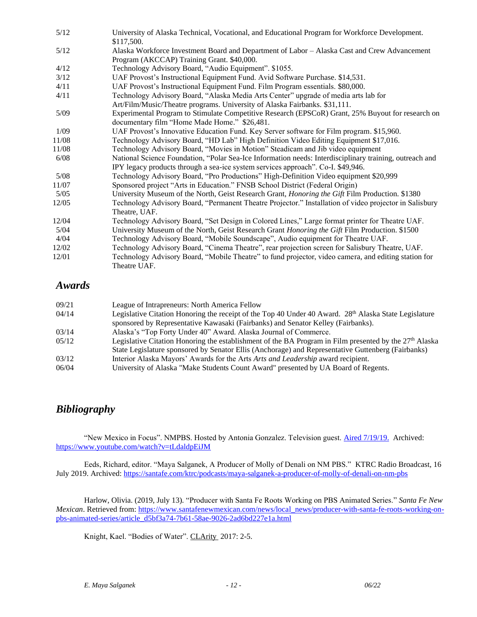| 5/12  | University of Alaska Technical, Vocational, and Educational Program for Workforce Development.<br>\$117,500. |
|-------|--------------------------------------------------------------------------------------------------------------|
| 5/12  | Alaska Workforce Investment Board and Department of Labor - Alaska Cast and Crew Advancement                 |
|       | Program (AKCCAP) Training Grant. \$40,000.                                                                   |
| 4/12  | Technology Advisory Board, "Audio Equipment". \$1055.                                                        |
| 3/12  | UAF Provost's Instructional Equipment Fund. Avid Software Purchase. \$14,531.                                |
| 4/11  | UAF Provost's Instructional Equipment Fund. Film Program essentials. \$80,000.                               |
| 4/11  | Technology Advisory Board, "Alaska Media Arts Center" upgrade of media arts lab for                          |
|       | Art/Film/Music/Theatre programs. University of Alaska Fairbanks. \$31,111.                                   |
| 5/09  | Experimental Program to Stimulate Competitive Research (EPSCoR) Grant, 25% Buyout for research on            |
|       | documentary film "Home Made Home." \$26,481.                                                                 |
| 1/09  | UAF Provost's Innovative Education Fund. Key Server software for Film program. \$15,960.                     |
| 11/08 | Technology Advisory Board, "HD Lab" High Definition Video Editing Equipment \$17,016.                        |
| 11/08 | Technology Advisory Board, "Movies in Motion" Steadicam and Jib video equipment                              |
| 6/08  | National Science Foundation, "Polar Sea-Ice Information needs: Interdisciplinary training, outreach and      |
|       | IPY legacy products through a sea-ice system services approach". Co-I. \$49,946.                             |
| 5/08  | Technology Advisory Board, "Pro Productions" High-Definition Video equipment \$20,999                        |
| 11/07 | Sponsored project "Arts in Education." FNSB School District (Federal Origin)                                 |
| 5/05  | University Museum of the North, Geist Research Grant, <i>Honoring the Gift</i> Film Production. \$1380       |
| 12/05 | Technology Advisory Board, "Permanent Theatre Projector." Installation of video projector in Salisbury       |
|       | Theatre, UAF.                                                                                                |
| 12/04 | Technology Advisory Board, "Set Design in Colored Lines," Large format printer for Theatre UAF.              |
| 5/04  | University Museum of the North, Geist Research Grant Honoring the Gift Film Production. \$1500               |
| 4/04  | Technology Advisory Board, "Mobile Soundscape", Audio equipment for Theatre UAF.                             |
| 12/02 | Technology Advisory Board, "Cinema Theatre", rear projection screen for Salisbury Theatre, UAF.              |
| 12/01 | Technology Advisory Board, "Mobile Theatre" to fund projector, video camera, and editing station for         |
|       | Theatre UAF.                                                                                                 |
|       |                                                                                                              |

# *Awards*

| 09/21 | League of Intrapreneurs: North America Fellow                                                                     |
|-------|-------------------------------------------------------------------------------------------------------------------|
| 04/14 | Legislative Citation Honoring the receipt of the Top 40 Under 40 Award. 28 <sup>th</sup> Alaska State Legislature |
|       | sponsored by Representative Kawasaki (Fairbanks) and Senator Kelley (Fairbanks).                                  |
| 03/14 | Alaska's "Top Forty Under 40" Award. Alaska Journal of Commerce.                                                  |
| 05/12 | Legislative Citation Honoring the establishment of the BA Program in Film presented by the $27th$ Alaska          |
|       | State Legislature sponsored by Senator Ellis (Anchorage) and Representative Guttenberg (Fairbanks)                |
| 03/12 | Interior Alaska Mayors' Awards for the Arts <i>Arts and Leadership</i> award recipient.                           |
| 06/04 | University of Alaska "Make Students Count Award" presented by UA Board of Regents                                 |

#### 06/04 University of Alaska "Make Students Count Award" presented by UA Board of Regents.

# *Bibliography*

"New Mexico in Focus". NMPBS. Hosted by Antonia Gonzalez. Television guest. [Aired 7/19/19.](https://www.youtube.com/watch?v=tLdaldpEiJM) Archived: <https://www.youtube.com/watch?v=tLdaldpEiJM>

Eeds, Richard, editor. "Maya Salganek, A Producer of Molly of Denali on NM PBS." KTRC Radio Broadcast, 16 July 2019. Archived[: https://santafe.com/ktrc/podcasts/maya-salganek-a-producer-of-molly-of-denali-on-nm-pbs](https://santafe.com/ktrc/podcasts/maya-salganek-a-producer-of-molly-of-denali-on-nm-pbs)

Harlow, Olivia. (2019, July 13). "Producer with Santa Fe Roots Working on PBS Animated Series." *Santa Fe New Mexican*. Retrieved from[: https://www.santafenewmexican.com/news/local\\_news/producer-with-santa-fe-roots-working-on](https://www.santafenewmexican.com/news/local_news/producer-with-santa-fe-roots-working-on-pbs-animated-series/article_d5bf3a74-7b61-58ae-9026-2ad6bd227e1a.html)[pbs-animated-series/article\\_d5bf3a74-7b61-58ae-9026-2ad6bd227e1a.html](https://www.santafenewmexican.com/news/local_news/producer-with-santa-fe-roots-working-on-pbs-animated-series/article_d5bf3a74-7b61-58ae-9026-2ad6bd227e1a.html)

Knight, Kael. "Bodies of Water". CLArity 2017: 2-5.